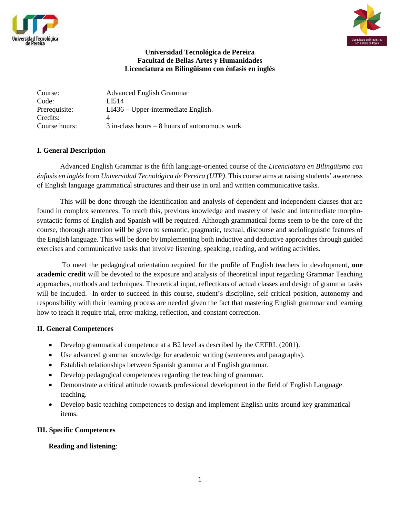



### **Universidad Tecnológica de Pereira Facultad de Bellas Artes y Humanidades Licenciatura en Bilingüismo con énfasis en inglés**

Course: Advanced English Grammar Code: LI514 Prerequisite: LI436 – Upper-intermediate English. Credits: Course hours: 3 in-class hours – 8 hours of autonomous work

## **I. General Description**

Advanced English Grammar is the fifth language-oriented course of the *Licenciatura en Bilingüismo con énfasis en inglés* from *Universidad Tecnológica de Pereira (UTP)*. This course aims at raising students' awareness of English language grammatical structures and their use in oral and written communicative tasks.

 This will be done through the identification and analysis of dependent and independent clauses that are found in complex sentences. To reach this, previous knowledge and mastery of basic and intermediate morphosyntactic forms of English and Spanish will be required. Although grammatical forms seem to be the core of the course, thorough attention will be given to semantic, pragmatic, textual, discourse and sociolinguistic features of the English language. This will be done by implementing both inductive and deductive approaches through guided exercises and communicative tasks that involve listening, speaking, reading, and writing activities.

 To meet the pedagogical orientation required for the profile of English teachers in development, **one academic credit** will be devoted to the exposure and analysis of theoretical input regarding Grammar Teaching approaches, methods and techniques. Theoretical input, reflections of actual classes and design of grammar tasks will be included. In order to succeed in this course, student's discipline, self-critical position, autonomy and responsibility with their learning process are needed given the fact that mastering English grammar and learning how to teach it require trial, error-making, reflection, and constant correction.

# **II. General Competences**

- Develop grammatical competence at a B2 level as described by the CEFRL (2001).
- Use advanced grammar knowledge for academic writing (sentences and paragraphs).
- Establish relationships between Spanish grammar and English grammar.
- Develop pedagogical competences regarding the teaching of grammar.
- Demonstrate a critical attitude towards professional development in the field of English Language teaching.
- Develop basic teaching competences to design and implement English units around key grammatical items.

### **III. Specific Competences**

# **Reading and listening**: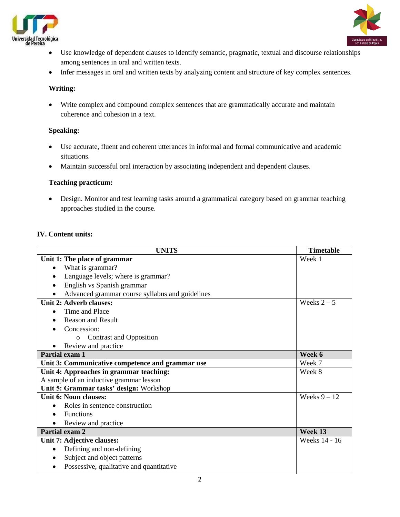



- Use knowledge of dependent clauses to identify semantic, pragmatic, textual and discourse relationships among sentences in oral and written texts.
- Infer messages in oral and written texts by analyzing content and structure of key complex sentences.

### **Writing:**

 Write complex and compound complex sentences that are grammatically accurate and maintain coherence and cohesion in a text.

# **Speaking:**

- Use accurate, fluent and coherent utterances in informal and formal communicative and academic situations.
- Maintain successful oral interaction by associating independent and dependent clauses.

## **Teaching practicum:**

 Design. Monitor and test learning tasks around a grammatical category based on grammar teaching approaches studied in the course.

# **IV. Content units:**

| <b>UNITS</b>                                     | <b>Timetable</b> |
|--------------------------------------------------|------------------|
| Unit 1: The place of grammar                     | Week 1           |
| What is grammar?<br>$\bullet$                    |                  |
| Language levels; where is grammar?               |                  |
| English vs Spanish grammar                       |                  |
| Advanced grammar course syllabus and guidelines  |                  |
| Unit 2: Adverb clauses:                          | Weeks $2-5$      |
| Time and Place<br>$\bullet$                      |                  |
| <b>Reason and Result</b>                         |                  |
| Concession:                                      |                  |
| <b>Contrast and Opposition</b><br>$\Omega$       |                  |
| Review and practice                              |                  |
| Partial exam 1                                   | Week 6           |
| Unit 3: Communicative competence and grammar use | Week 7           |
| Unit 4: Approaches in grammar teaching:          | Week 8           |
| A sample of an inductive grammar lesson          |                  |
| Unit 5: Grammar tasks' design: Workshop          |                  |
| Unit 6: Noun clauses:                            | Weeks $9 - 12$   |
| Roles in sentence construction<br>$\bullet$      |                  |
| <b>Functions</b>                                 |                  |
| Review and practice                              |                  |
| Partial exam 2                                   | Week 13          |
| Unit 7: Adjective clauses:                       | Weeks 14 - 16    |
| Defining and non-defining<br>$\bullet$           |                  |
| Subject and object patterns<br>$\bullet$         |                  |
| Possessive, qualitative and quantitative         |                  |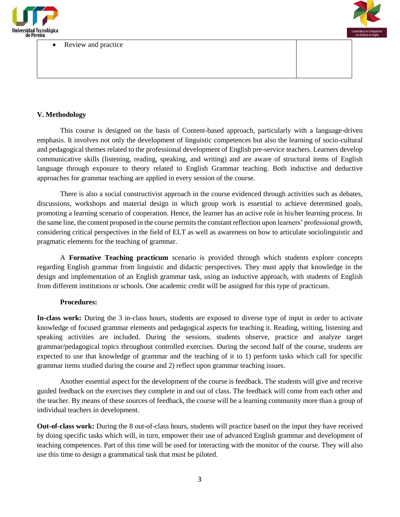

#### Review and practice



### **V. Methodology**

This course is designed on the basis of Content-based approach, particularly with a language-driven emphasis. It involves not only the development of linguistic competences but also the learning of socio-cultural and pedagogical themes related to the professional development of English pre-service teachers. Learners develop communicative skills (listening, reading, speaking, and writing) and are aware of structural items of English language through exposure to theory related to English Grammar teaching. Both inductive and deductive approaches for grammar teaching are applied in every session of the course.

There is also a social constructivist approach in the course evidenced through activities such as debates, discussions, workshops and material design in which group work is essential to achieve determined goals, promoting a learning scenario of cooperation. Hence, the learner has an active role in his/her learning process. In the same line, the content proposed in the course permits the constant reflection upon learners' professional growth, considering critical perspectives in the field of ELT as well as awareness on how to articulate sociolinguistic and pragmatic elements for the teaching of grammar.

A **Formative Teaching practicum** scenario is provided through which students explore concepts regarding English grammar from linguistic and didactic perspectives. They must apply that knowledge in the design and implementation of an English grammar task, using an inductive approach, with students of English from different institutions or schools. One academic credit will be assigned for this type of practicum.

### **Procedures:**

**In-class work:** During the 3 in-class hours, students are exposed to diverse type of input in order to activate knowledge of focused grammar elements and pedagogical aspects for teaching it. Reading, writing, listening and speaking activities are included. During the sessions, students observe, practice and analyze target grammar/pedagogical topics throughout controlled exercises. During the second half of the course, students are expected to use that knowledge of grammar and the teaching of it to 1) perform tasks which call for specific grammar items studied during the course and 2) reflect upon grammar teaching issues.

Another essential aspect for the development of the course is feedback. The students will give and receive guided feedback on the exercises they complete in and out of class. The feedback will come from each other and the teacher. By means of these sources of feedback, the course will be a learning community more than a group of individual teachers in development.

**Out-of-class work:** During the 8 out-of-class hours, students will practice based on the input they have received by doing specific tasks which will, in turn, empower their use of advanced English grammar and development of teaching competences. Part of this time will be used for interacting with the monitor of the course. They will also use this time to design a grammatical task that must be piloted.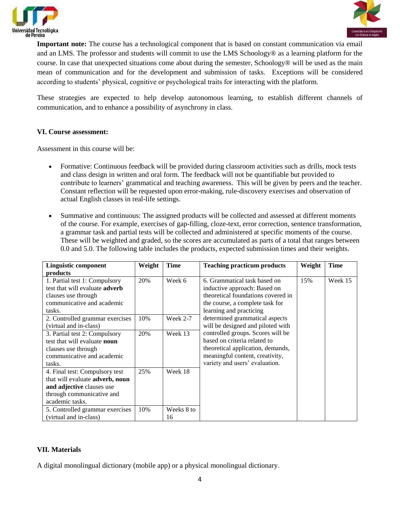



**Important note:** The course has a technological component that is based on constant communication via email and an LMS. The professor and students will commit to use the LMS Schoology® as a learning platform for the course. In case that unexpected situations come about during the semester, Schoology® will be used as the main mean of communication and for the development and submission of tasks. Exceptions will be considered according to students' physical, cognitive or psychological traits for interacting with the platform.

These strategies are expected to help develop autonomous learning, to establish different channels of communication, and to enhance a possibility of asynchrony in class.

#### **VI. Course assessment:**

Assessment in this course will be:

- Formative: Continuous feedback will be provided during classroom activities such as drills, mock tests and class design in written and oral form. The feedback will not be quantifiable but provided to contribute to learners' grammatical and teaching awareness. This will be given by peers and the teacher. Constant reflection will be requested upon error-making, rule-discovery exercises and observation of actual English classes in real-life settings.
- Summative and continuous: The assigned products will be collected and assessed at different moments of the course. For example, exercises of gap-filling, cloze-text, error correction, sentence transformation, a grammar task and partial tests will be collected and administered at specific moments of the course. These will be weighted and graded, so the scores are accumulated as parts of a total that ranges between 0.0 and 5.0. The following table includes the products, expected submission times and their weights.

| <b>Linguistic component</b>                    | Weight | <b>Time</b> | <b>Teaching practicum products</b> | Weight | <b>Time</b> |
|------------------------------------------------|--------|-------------|------------------------------------|--------|-------------|
| products                                       |        |             |                                    |        |             |
| 1. Partial test 1: Compulsory                  | 20%    | Week 6      | 6. Grammatical task based on       | 15%    | Week 15     |
| test that will evaluate <b>adverb</b>          |        |             | inductive approach: Based on       |        |             |
| clauses use through                            |        |             | theoretical foundations covered in |        |             |
| communicative and academic                     |        |             | the course, a complete task for    |        |             |
| tasks.                                         |        |             | learning and practicing            |        |             |
| 2. Controlled grammar exercises                | 10%    | Week 2-7    | determined grammatical aspects     |        |             |
| (virtual and in-class)                         |        |             | will be designed and piloted with  |        |             |
| 3. Partial test 2: Compulsory                  | 20%    | Week 13     | controlled groups. Scores will be  |        |             |
| test that will evaluate noun                   |        |             | based on criteria related to       |        |             |
| clauses use through                            |        |             | theoretical application, demands,  |        |             |
| communicative and academic                     |        |             | meaningful content, creativity,    |        |             |
| tasks.                                         |        |             | variety and users' evaluation.     |        |             |
| 4. Final test: Compulsory test                 | 25%    | Week 18     |                                    |        |             |
| that will evaluate <b>adverb</b> , <b>noun</b> |        |             |                                    |        |             |
| and adjective clauses use                      |        |             |                                    |        |             |
| through communicative and                      |        |             |                                    |        |             |
| academic tasks.                                |        |             |                                    |        |             |
| 5. Controlled grammar exercises                | 10%    | Weeks 8 to  |                                    |        |             |
| (virtual and in-class)                         |        | 16          |                                    |        |             |

### **VII. Materials**

A digital monolingual dictionary (mobile app) or a physical monolingual dictionary.